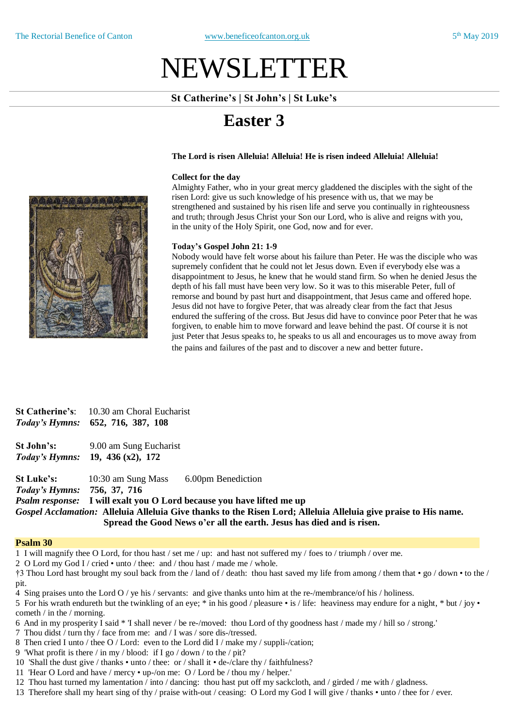# NEWSLETTER

### **St Catherine's | St John's | St Luke's**

## **Easter 3**

### **The Lord is risen Alleluia! Alleluia! He is risen indeed Alleluia! Alleluia!**

### **Collect for the day**

Almighty Father, who in your great mercy gladdened the disciples with the sight of the risen Lord: give us such knowledge of his presence with us, that we may be strengthened and sustained by his risen life and serve you continually in righteousness and truth; through Jesus Christ your Son our Lord, who is alive and reigns with you, in the unity of the Holy Spirit, one God, now and for ever.

### **Today's Gospel John 21: 1-9**

Nobody would have felt worse about his failure than Peter. He was the disciple who was supremely confident that he could not let Jesus down. Even if everybody else was a disappointment to Jesus, he knew that he would stand firm. So when he denied Jesus the depth of his fall must have been very low. So it was to this miserable Peter, full of remorse and bound by past hurt and disappointment, that Jesus came and offered hope. Jesus did not have to forgive Peter, that was already clear from the fact that Jesus endured the suffering of the cross. But Jesus did have to convince poor Peter that he was forgiven, to enable him to move forward and leave behind the past. Of course it is not just Peter that Jesus speaks to, he speaks to us all and encourages us to move away from the pains and failures of the past and to discover a new and better future.

**St Catherine's**: 10.30 am Choral Eucharist *Today's Hymns:* **652, 716, 387, 108**

**St John's:** 9.00 am Sung Eucharist *Today's Hymns:* **19, 436 (x2), 172**

**St Luke's:** 10:30 am Sung Mass 6.00pm Benediction *Today's Hymns:* **756, 37, 716** *Psalm response:* **I will exalt you O Lord because you have lifted me up** Gospel Acclamation: Alleluia Alleluia Give thanks to the Risen Lord; Alleluia Alleluia give praise to His name. **Spread the Good News o'er all the earth. Jesus has died and is risen.**

### **Psalm 30**

1 I will magnify thee O Lord, for thou hast / set me / up: and hast not suffered my / foes to / triumph / over me.

2 O Lord my God I / cried • unto / thee: and / thou hast / made me / whole.

†3 Thou Lord hast brought my soul back from the / land of / death: thou hast saved my life from among / them that • go / down • to the / pit.

4 Sing praises unto the Lord O / ye his / servants: and give thanks unto him at the re-/membrance/of his / holiness.

5 For his wrath endureth but the twinkling of an eye; \* in his good / pleasure • is / life: heaviness may endure for a night, \* but / joy • cometh / in the / morning.

6 And in my prosperity I said \* 'I shall never / be re-/moved: thou Lord of thy goodness hast / made my / hill so / strong.'

- 7 Thou didst / turn thy / face from me: and / I was / sore dis-/tressed.
- 8 Then cried I unto / thee O / Lord: even to the Lord did I / make my / suppli-/cation;
- 9 'What profit is there / in my / blood: if I go / down / to the / pit?
- 10 'Shall the dust give / thanks unto / thee: or / shall it de-/clare thy / faithfulness?
- 11 'Hear O Lord and have / mercy up-/on me: O / Lord be / thou my / helper.'
- 12 Thou hast turned my lamentation / into / dancing: thou hast put off my sackcloth, and / girded / me with / gladness.
- 13 Therefore shall my heart sing of thy / praise with-out / ceasing: O Lord my God I will give / thanks unto / thee for / ever.